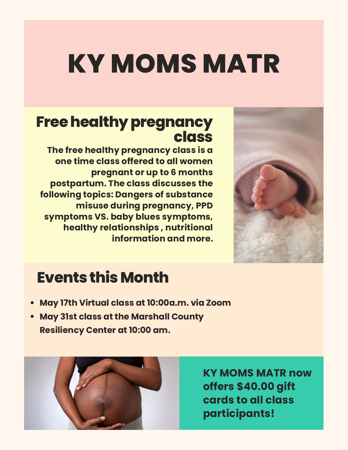# **KY MOMS MATR**

#### **Free healthy pregnancy class**

**The free healthy pregnancy class is a one time class offered to all women pregnant or up to 6 months postpartum. The class discusses the following topics: Dangers of substance misuse during pregnancy, PPD symptoms VS. baby blues symptoms, healthy relationships , nutritional information and more.**



### **EventsthisMonth**

- **May 17th Virtual class at 10:00a.m. via Zoom**
- **May 31st class at the Marshall County Resiliency Center at 10:00 am.**



**KY MOMS MATR now offers \$40.00 gift cards to all class participants!**